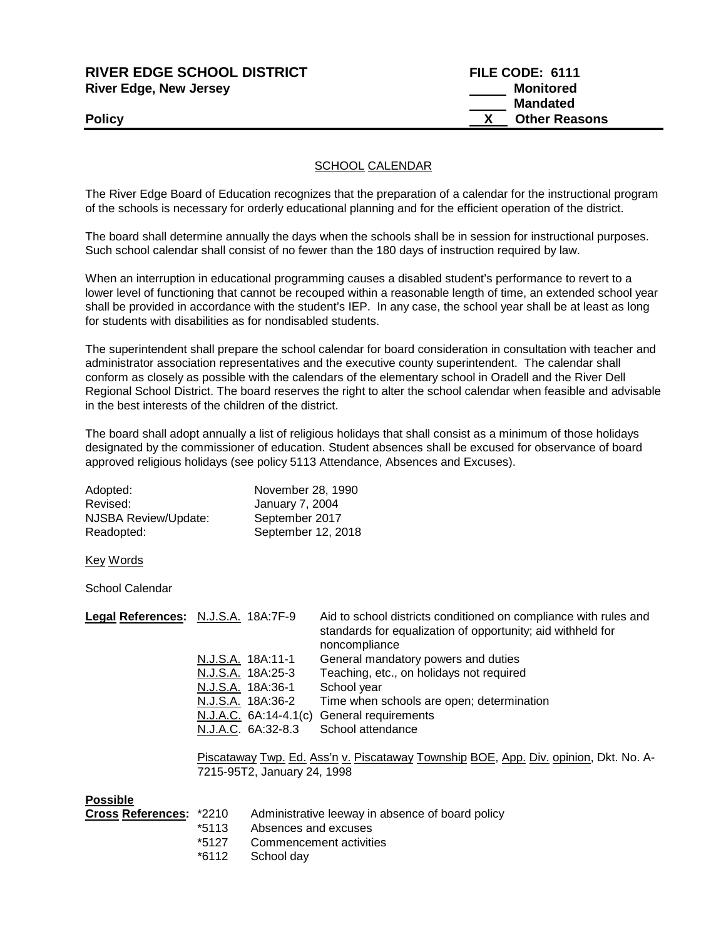| RIVER EDGE SCHOOL DISTRICT    | FILE CODE: 6111      |
|-------------------------------|----------------------|
| <b>River Edge, New Jersey</b> | <b>Monitored</b>     |
|                               | <b>Mandated</b>      |
| <b>Policy</b>                 | <b>Other Reasons</b> |
|                               |                      |

## SCHOOL CALENDAR

The River Edge Board of Education recognizes that the preparation of a calendar for the instructional program of the schools is necessary for orderly educational planning and for the efficient operation of the district.

The board shall determine annually the days when the schools shall be in session for instructional purposes. Such school calendar shall consist of no fewer than the 180 days of instruction required by law.

When an interruption in educational programming causes a disabled student's performance to revert to a lower level of functioning that cannot be recouped within a reasonable length of time, an extended school year shall be provided in accordance with the student's IEP. In any case, the school year shall be at least as long for students with disabilities as for nondisabled students.

The superintendent shall prepare the school calendar for board consideration in consultation with teacher and administrator association representatives and the executive county superintendent. The calendar shall conform as closely as possible with the calendars of the elementary school in Oradell and the River Dell Regional School District. The board reserves the right to alter the school calendar when feasible and advisable in the best interests of the children of the district.

The board shall adopt annually a list of religious holidays that shall consist as a minimum of those holidays designated by the commissioner of education. Student absences shall be excused for observance of board approved religious holidays (see policy 5113 Attendance, Absences and Excuses).

| Adopted:             | November 28, 1990      |
|----------------------|------------------------|
| Revised:             | <b>January 7, 2004</b> |
| NJSBA Review/Update: | September 2017         |
| Readopted:           | September 12, 2018     |

Key Words

School Calendar

| Legal References: N.J.S.A. 18A:7F-9 |                       | Aid to school districts conditioned on compliance with rules and<br>standards for equalization of opportunity; aid withheld for<br>noncompliance |
|-------------------------------------|-----------------------|--------------------------------------------------------------------------------------------------------------------------------------------------|
|                                     | N.J.S.A. 18A:11-1     | General mandatory powers and duties                                                                                                              |
|                                     | N.J.S.A. 18A:25-3     | Teaching, etc., on holidays not required                                                                                                         |
|                                     | N.J.S.A. 18A:36-1     | School year                                                                                                                                      |
|                                     | N.J.S.A. 18A:36-2     | Time when schools are open; determination                                                                                                        |
|                                     | N.J.A.C. 6A:14-4.1(c) | General requirements                                                                                                                             |
|                                     | N.J.A.C. 6A:32-8.3    | School attendance                                                                                                                                |

Piscataway Twp. Ed. Ass'n v. Piscataway Township BOE, App. Div. opinion, Dkt. No. A-7215-95T2, January 24, 1998

## **Possible**

| <b>Cross References: *2210</b> |       | Administrative leeway in absence of board policy |
|--------------------------------|-------|--------------------------------------------------|
|                                | *5113 | Absences and excuses                             |
|                                | *5127 | Commencement activities                          |
|                                |       | *6112 School day                                 |